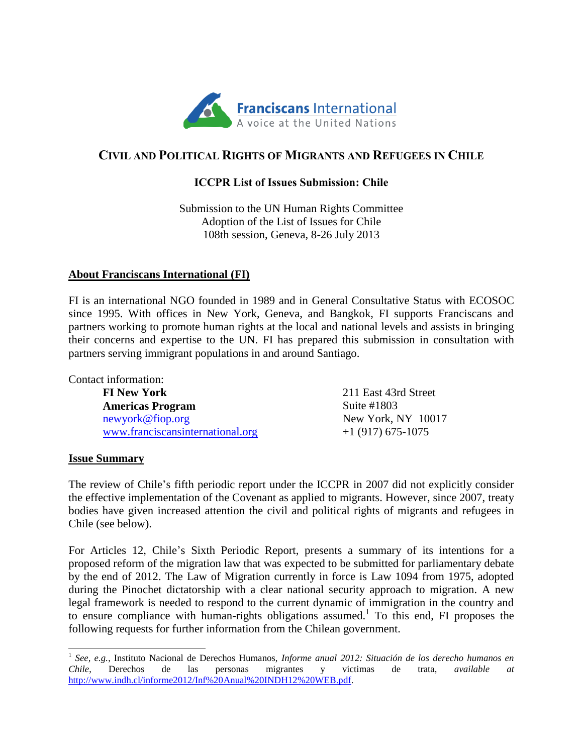

# **CIVIL AND POLITICAL RIGHTS OF MIGRANTS AND REFUGEES IN CHILE**

# **ICCPR List of Issues Submission: Chile**

Submission to the UN Human Rights Committee Adoption of the List of Issues for Chile 108th session, Geneva, 8-26 July 2013

# **About Franciscans International (FI)**

FI is an international NGO founded in 1989 and in General Consultative Status with ECOSOC since 1995. With offices in New York, Geneva, and Bangkok, FI supports Franciscans and partners working to promote human rights at the local and national levels and assists in bringing their concerns and expertise to the UN. FI has prepared this submission in consultation with partners serving immigrant populations in and around Santiago.

Contact information:

**FI New York Americas Program**  [newyork@fiop.org](mailto:newyork@fiop.org) [www.franciscansinternational.org](http://www.franciscansinternational.org/) 211 East 43rd Street Suite #1803 New York, NY 10017 +1 (917) 675-1075

# **Issue Summary**

The review of Chile's fifth periodic report under the ICCPR in 2007 did not explicitly consider the effective implementation of the Covenant as applied to migrants. However, since 2007, treaty bodies have given increased attention the civil and political rights of migrants and refugees in Chile (see below).

For Articles 12, Chile's Sixth Periodic Report, presents a summary of its intentions for a proposed reform of the migration law that was expected to be submitted for parliamentary debate by the end of 2012. The Law of Migration currently in force is Law 1094 from 1975, adopted during the Pinochet dictatorship with a clear national security approach to migration. A new legal framework is needed to respond to the current dynamic of immigration in the country and to ensure compliance with human-rights obligations assumed.<sup>1</sup> To this end, FI proposes the following requests for further information from the Chilean government.

l 1 *See, e.g.*, Instituto Nacional de Derechos Humanos, *Informe anual 2012: Situación de los derecho humanos en Chile*, Derechos de las personas migrantes y victimas de trata, *available at*  [http://www.indh.cl/informe2012/Inf%20Anual%20INDH12%20WEB.pdf.](http://www.indh.cl/informe2012/Inf%20Anual%20INDH12%20WEB.pdf)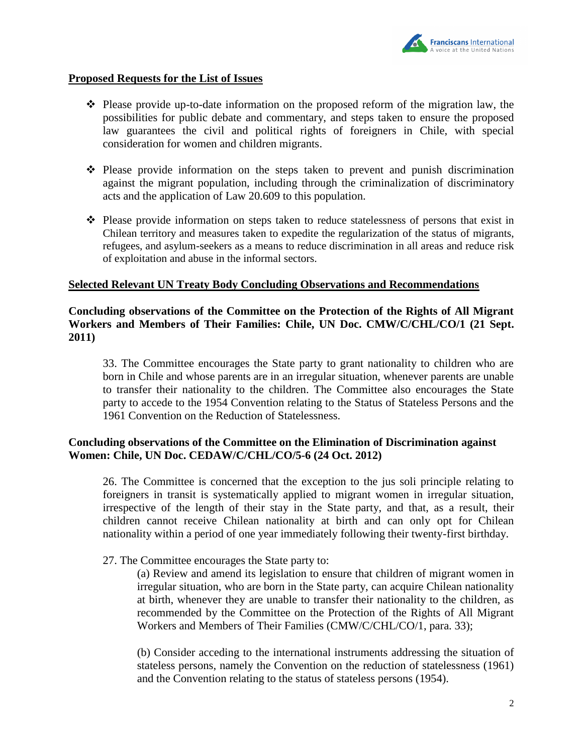

#### **Proposed Requests for the List of Issues**

- $\hat{\mathbf{v}}$  Please provide up-to-date information on the proposed reform of the migration law, the possibilities for public debate and commentary, and steps taken to ensure the proposed law guarantees the civil and political rights of foreigners in Chile, with special consideration for women and children migrants.
- Please provide information on the steps taken to prevent and punish discrimination against the migrant population, including through the criminalization of discriminatory acts and the application of Law 20.609 to this population.
- Please provide information on steps taken to reduce statelessness of persons that exist in Chilean territory and measures taken to expedite the regularization of the status of migrants, refugees, and asylum-seekers as a means to reduce discrimination in all areas and reduce risk of exploitation and abuse in the informal sectors.

#### **Selected Relevant UN Treaty Body Concluding Observations and Recommendations**

# **Concluding observations of the Committee on the Protection of the Rights of All Migrant Workers and Members of Their Families: Chile, UN Doc. CMW/C/CHL/CO/1 (21 Sept. 2011)**

33. The Committee encourages the State party to grant nationality to children who are born in Chile and whose parents are in an irregular situation, whenever parents are unable to transfer their nationality to the children. The Committee also encourages the State party to accede to the 1954 Convention relating to the Status of Stateless Persons and the 1961 Convention on the Reduction of Statelessness.

# **Concluding observations of the Committee on the Elimination of Discrimination against Women: Chile, UN Doc. CEDAW/C/CHL/CO/5-6 (24 Oct. 2012)**

26. The Committee is concerned that the exception to the jus soli principle relating to foreigners in transit is systematically applied to migrant women in irregular situation, irrespective of the length of their stay in the State party, and that, as a result, their children cannot receive Chilean nationality at birth and can only opt for Chilean nationality within a period of one year immediately following their twenty-first birthday.

27. The Committee encourages the State party to:

(a) Review and amend its legislation to ensure that children of migrant women in irregular situation, who are born in the State party, can acquire Chilean nationality at birth, whenever they are unable to transfer their nationality to the children, as recommended by the Committee on the Protection of the Rights of All Migrant Workers and Members of Their Families (CMW/C/CHL/CO/1, para. 33);

(b) Consider acceding to the international instruments addressing the situation of stateless persons, namely the Convention on the reduction of statelessness (1961) and the Convention relating to the status of stateless persons (1954).